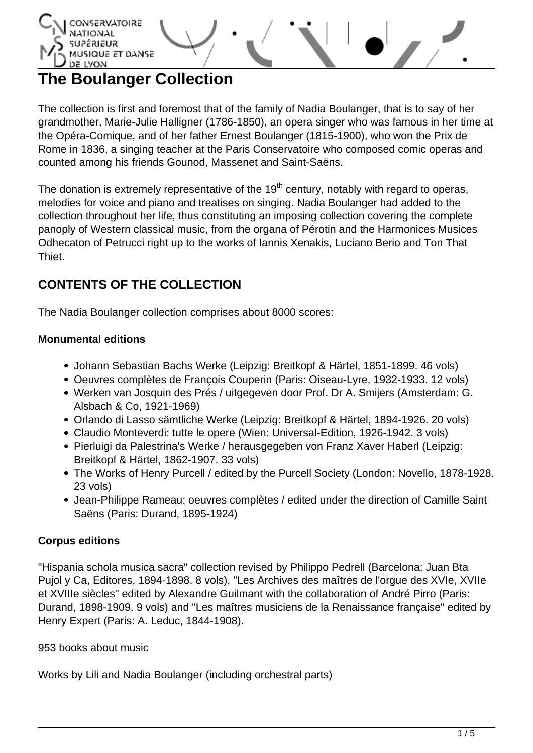

# **The Boulanger Collection**

The collection is first and foremost that of the family of Nadia Boulanger, that is to say of her grandmother, Marie-Julie Halligner (1786-1850), an opera singer who was famous in her time at the Opéra-Comique, and of her father Ernest Boulanger (1815-1900), who won the Prix de Rome in 1836, a singing teacher at the Paris Conservatoire who composed comic operas and counted among his friends Gounod, Massenet and Saint-Saëns.

The donation is extremely representative of the 19<sup>th</sup> century, notably with regard to operas, melodies for voice and piano and treatises on singing. Nadia Boulanger had added to the collection throughout her life, thus constituting an imposing collection covering the complete panoply of Western classical music, from the organa of Pérotin and the Harmonices Musices Odhecaton of Petrucci right up to the works of Iannis Xenakis, Luciano Berio and Ton That Thiet.

# **CONTENTS OF THE COLLECTION**

The Nadia Boulanger collection comprises about 8000 scores:

# **Monumental editions**

- Johann Sebastian Bachs Werke (Leipzig: Breitkopf & Härtel, 1851-1899. 46 vols)
- Oeuvres complètes de François Couperin (Paris: Oiseau-Lyre, 1932-1933. 12 vols)
- Werken van Josquin des Prés / uitgegeven door Prof. Dr A. Smijers (Amsterdam: G. Alsbach & Co, 1921-1969)
- Orlando di Lasso sämtliche Werke (Leipzig: Breitkopf & Härtel, 1894-1926. 20 vols)
- Claudio Monteverdi: tutte le opere (Wien: Universal-Edition, 1926-1942. 3 vols)
- Pierluigi da Palestrina's Werke / herausgegeben von Franz Xaver Haberl (Leipzig: Breitkopf & Härtel, 1862-1907. 33 vols)
- The Works of Henry Purcell / edited by the Purcell Society (London: Novello, 1878-1928. 23 vols)
- Jean-Philippe Rameau: oeuvres complètes / edited under the direction of Camille Saint Saëns (Paris: Durand, 1895-1924)

### **Corpus editions**

"Hispania schola musica sacra" collection revised by Philippo Pedrell (Barcelona: Juan Bta Pujol y Ca, Editores, 1894-1898. 8 vols), "Les Archives des maîtres de l'orgue des XVIe, XVIIe et XVIIIe siècles" edited by Alexandre Guilmant with the collaboration of André Pirro (Paris: Durand, 1898-1909. 9 vols) and "Les maîtres musiciens de la Renaissance française" edited by Henry Expert (Paris: A. Leduc, 1844-1908).

953 books about music

Works by Lili and Nadia Boulanger (including orchestral parts)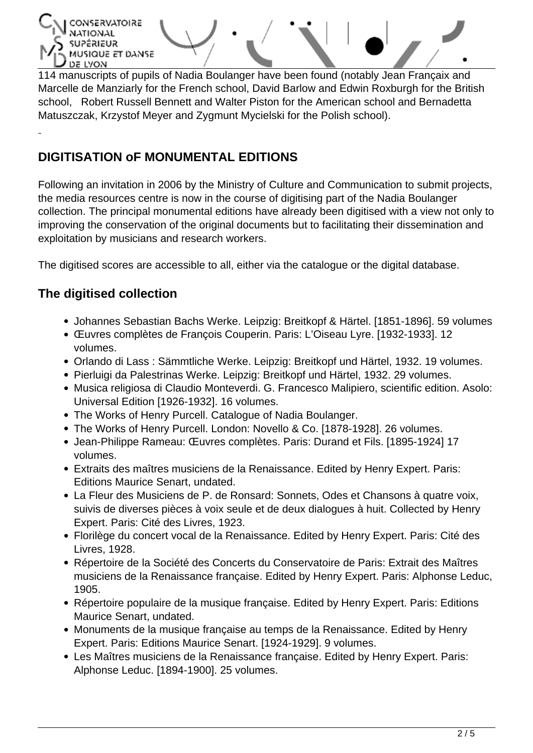CONSERVATOIRE **ÉRIEUR** MUSIQUE ET DANSE DE LYON

114 manuscripts of pupils of Nadia Boulanger have been found (notably Jean Françaix and Marcelle de Manziarly for the French school, David Barlow and Edwin Roxburgh for the British school, Robert Russell Bennett and Walter Piston for the American school and Bernadetta Matuszczak, Krzystof Meyer and Zygmunt Mycielski for the Polish school).

# **DIGITISATION oF MONUMENTAL EDITIONS**

Following an invitation in 2006 by the Ministry of Culture and Communication to submit projects, the media resources centre is now in the course of digitising part of the Nadia Boulanger collection. The principal monumental editions have already been digitised with a view not only to improving the conservation of the original documents but to facilitating their dissemination and exploitation by musicians and research workers.

The digitised scores are accessible to all, either via the catalogue or the digital database.

# **The digitised collection**

- Johannes Sebastian Bachs Werke. Leipzig: Breitkopf & Härtel. [1851-1896]. 59 volumes
- Œuvres complètes de François Couperin. Paris: L'Oiseau Lyre. [1932-1933]. 12 volumes.
- Orlando di Lass : Sämmtliche Werke. Leipzig: Breitkopf und Härtel, 1932. 19 volumes.
- Pierluigi da Palestrinas Werke. Leipzig: Breitkopf und Härtel, 1932. 29 volumes.
- Musica religiosa di Claudio Monteverdi. G. Francesco Malipiero, scientific edition. Asolo: Universal Edition [1926-1932]. 16 volumes.
- The Works of Henry Purcell. Catalogue of Nadia Boulanger.
- The Works of Henry Purcell. London: Novello & Co. [1878-1928]. 26 volumes.
- Jean-Philippe Rameau: Œuvres complètes. Paris: Durand et Fils. [1895-1924] 17 volumes.
- Extraits des maîtres musiciens de la Renaissance. Edited by Henry Expert. Paris: Editions Maurice Senart, undated.
- La Fleur des Musiciens de P. de Ronsard: Sonnets, Odes et Chansons à quatre voix, suivis de diverses pièces à voix seule et de deux dialogues à huit. Collected by Henry Expert. Paris: Cité des Livres, 1923.
- Florilège du concert vocal de la Renaissance. Edited by Henry Expert. Paris: Cité des Livres, 1928.
- Répertoire de la Société des Concerts du Conservatoire de Paris: Extrait des Maîtres musiciens de la Renaissance française. Edited by Henry Expert. Paris: Alphonse Leduc, 1905.
- Répertoire populaire de la musique française. Edited by Henry Expert. Paris: Editions Maurice Senart, undated.
- Monuments de la musique française au temps de la Renaissance. Edited by Henry Expert. Paris: Editions Maurice Senart. [1924-1929]. 9 volumes.
- Les Maîtres musiciens de la Renaissance française. Edited by Henry Expert. Paris: Alphonse Leduc. [1894-1900]. 25 volumes.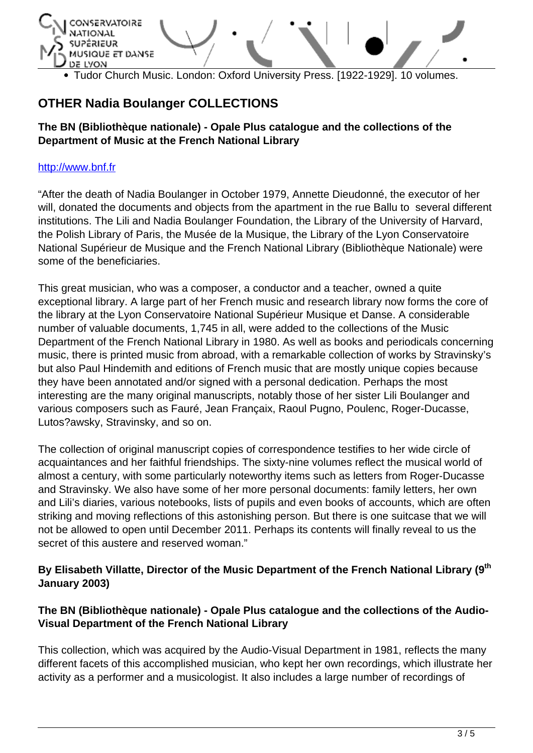

Tudor Church Music. London: Oxford University Press. [1922-1929]. 10 volumes.

# **OTHER Nadia Boulanger COLLECTIONS**

#### **The BN (Bibliothèque nationale) - Opale Plus catalogue and the collections of the Department of Music at the French National Library**

#### <http://www.bnf.fr>

"After the death of Nadia Boulanger in October 1979, Annette Dieudonné, the executor of her will, donated the documents and objects from the apartment in the rue Ballu to several different institutions. The Lili and Nadia Boulanger Foundation, the Library of the University of Harvard, the Polish Library of Paris, the Musée de la Musique, the Library of the Lyon Conservatoire National Supérieur de Musique and the French National Library (Bibliothèque Nationale) were some of the beneficiaries.

This great musician, who was a composer, a conductor and a teacher, owned a quite exceptional library. A large part of her French music and research library now forms the core of the library at the Lyon Conservatoire National Supérieur Musique et Danse. A considerable number of valuable documents, 1,745 in all, were added to the collections of the Music Department of the French National Library in 1980. As well as books and periodicals concerning music, there is printed music from abroad, with a remarkable collection of works by Stravinsky's but also Paul Hindemith and editions of French music that are mostly unique copies because they have been annotated and/or signed with a personal dedication. Perhaps the most interesting are the many original manuscripts, notably those of her sister Lili Boulanger and various composers such as Fauré, Jean Françaix, Raoul Pugno, Poulenc, Roger-Ducasse, Lutos?awsky, Stravinsky, and so on.

The collection of original manuscript copies of correspondence testifies to her wide circle of acquaintances and her faithful friendships. The sixty-nine volumes reflect the musical world of almost a century, with some particularly noteworthy items such as letters from Roger-Ducasse and Stravinsky. We also have some of her more personal documents: family letters, her own and Lili's diaries, various notebooks, lists of pupils and even books of accounts, which are often striking and moving reflections of this astonishing person. But there is one suitcase that we will not be allowed to open until December 2011. Perhaps its contents will finally reveal to us the secret of this austere and reserved woman."

### **By Elisabeth Villatte, Director of the Music Department of the French National Library (9th January 2003)**

#### **The BN (Bibliothèque nationale) - Opale Plus catalogue and the collections of the Audio-Visual Department of the French National Library**

This collection, which was acquired by the Audio-Visual Department in 1981, reflects the many different facets of this accomplished musician, who kept her own recordings, which illustrate her activity as a performer and a musicologist. It also includes a large number of recordings of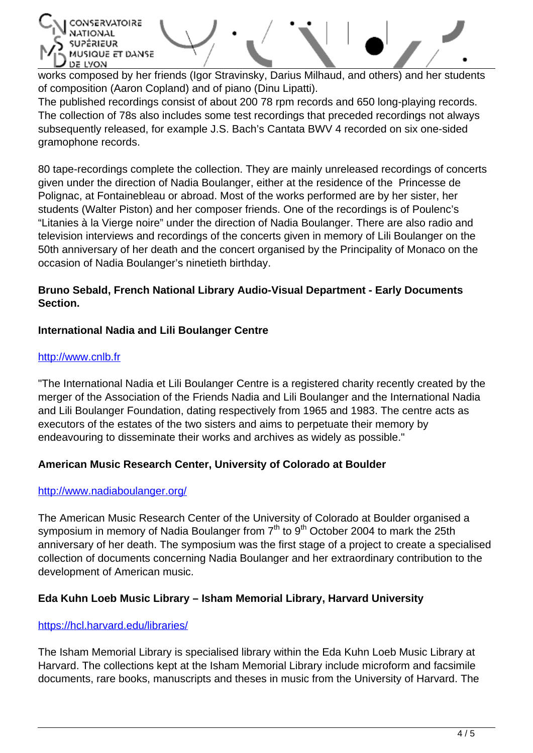אובּטא SIQUE ET DANSE DE LYON

works composed by her friends (Igor Stravinsky, Darius Milhaud, and others) and her students of composition (Aaron Copland) and of piano (Dinu Lipatti).

The published recordings consist of about 200 78 rpm records and 650 long-playing records. The collection of 78s also includes some test recordings that preceded recordings not always subsequently released, for example J.S. Bach's Cantata BWV 4 recorded on six one-sided gramophone records.

80 tape-recordings complete the collection. They are mainly unreleased recordings of concerts given under the direction of Nadia Boulanger, either at the residence of the Princesse de Polignac, at Fontainebleau or abroad. Most of the works performed are by her sister, her students (Walter Piston) and her composer friends. One of the recordings is of Poulenc's "Litanies à la Vierge noire" under the direction of Nadia Boulanger. There are also radio and television interviews and recordings of the concerts given in memory of Lili Boulanger on the 50th anniversary of her death and the concert organised by the Principality of Monaco on the occasion of Nadia Boulanger's ninetieth birthday.

### **Bruno Sebald, French National Library Audio-Visual Department - Early Documents Section.**

### **International Nadia and Lili Boulanger Centre**

#### <http://www.cnlb.fr>

"The International Nadia et Lili Boulanger Centre is a registered charity recently created by the merger of the Association of the Friends Nadia and Lili Boulanger and the International Nadia and Lili Boulanger Foundation, dating respectively from 1965 and 1983. The centre acts as executors of the estates of the two sisters and aims to perpetuate their memory by endeavouring to disseminate their works and archives as widely as possible."

### **American Music Research Center, University of Colorado at Boulder**

#### <http://www.nadiaboulanger.org/>

The American Music Research Center of the University of Colorado at Boulder organised a symposium in memory of Nadia Boulanger from  $7<sup>th</sup>$  to  $9<sup>th</sup>$  October 2004 to mark the 25th anniversary of her death. The symposium was the first stage of a project to create a specialised collection of documents concerning Nadia Boulanger and her extraordinary contribution to the development of American music.

### **Eda Kuhn Loeb Music Library – Isham Memorial Library, Harvard University**

#### [https://hcl.harvard.edu/libraries/](https://hcl.harvard.edu/libraries/loebmusic/isham/guides/boulanger.html)

The Isham Memorial Library is specialised library within the Eda Kuhn Loeb Music Library at Harvard. The collections kept at the Isham Memorial Library include microform and facsimile documents, rare books, manuscripts and theses in music from the University of Harvard. The